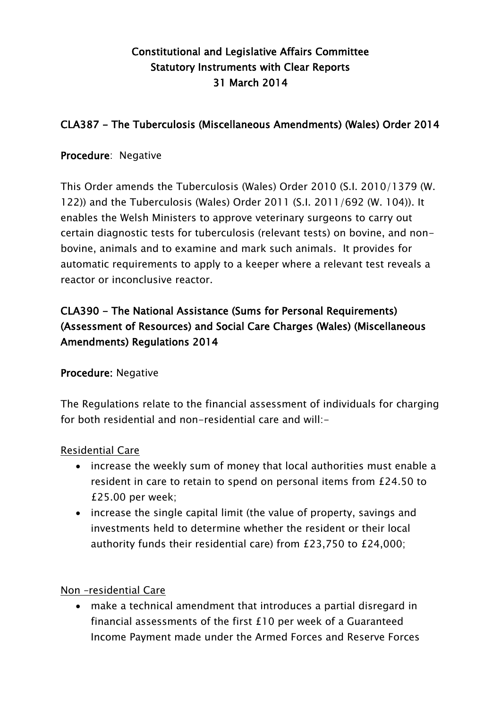# Constitutional and Legislative Affairs Committee Statutory Instruments with Clear Reports 31 March 2014

## CLA387 - The Tuberculosis (Miscellaneous Amendments) (Wales) Order 2014

### Procedure: Negative

This Order amends the Tuberculosis (Wales) Order 2010 (S.I. 2010/1379 (W. 122)) and the Tuberculosis (Wales) Order 2011 (S.I. 2011/692 (W. 104)). It enables the Welsh Ministers to approve veterinary surgeons to carry out certain diagnostic tests for tuberculosis (relevant tests) on bovine, and nonbovine, animals and to examine and mark such animals. It provides for automatic requirements to apply to a keeper where a relevant test reveals a reactor or inconclusive reactor.

# CLA390 - The National Assistance (Sums for Personal Requirements) (Assessment of Resources) and Social Care Charges (Wales) (Miscellaneous Amendments) Regulations 2014

### Procedure: Negative

The Regulations relate to the financial assessment of individuals for charging for both residential and non-residential care and will:-

#### Residential Care

- increase the weekly sum of money that local authorities must enable a resident in care to retain to spend on personal items from £24.50 to £25.00 per week;
- increase the single capital limit (the value of property, savings and investments held to determine whether the resident or their local authority funds their residential care) from £23,750 to £24,000;

#### Non –residential Care

 make a technical amendment that introduces a partial disregard in financial assessments of the first £10 per week of a Guaranteed Income Payment made under the Armed Forces and Reserve Forces